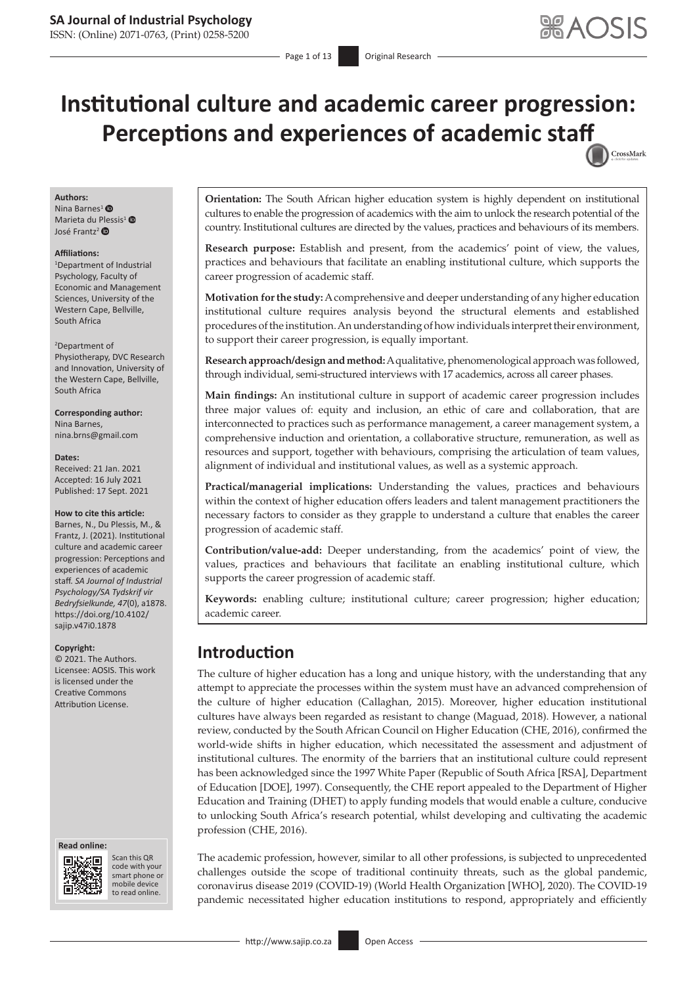ISSN: (Online) 2071-0763, (Print) 0258-5200

# **Institutional culture and academic career progression: Perceptions and experiences of academic sta[ff](http://crossmark.crossref.org/dialog/?doi=10.4102/sajip.v47i0.1878=pdf&date_stamp=2021-09-17)** CrossMark

#### **Authors:**

Nina Barnes<sup>[1](https://orcid.org/0000-0002-5514-1201)</sup> $\bullet$ Marieta du Plessis<sup>1</sup><sup>®</sup> José Frantz<sup>2</sup>

#### **Affiliations:**

1 Department of Industrial Psychology, Faculty of Economic and Management Sciences, University of the Western Cape, Bellville, South Africa

#### 2 Department of

Physiotherapy, DVC Research and Innovation, University of the Western Cape, Bellville, South Africa

**Corresponding author:** Nina Barnes, [nina.brns@gmail.com](mailto:nina.brns@gmail.com)

#### **Dates:**

Received: 21 Jan. 2021 Accepted: 16 July 2021 Published: 17 Sept. 2021

#### **How to cite this article:**

Barnes, N., Du Plessis, M., & Frantz, J. (2021). Institutional culture and academic career progression: Perceptions and experiences of academic staff. *SA Journal of Industrial Psychology/SA Tydskrif vir Bedryfsielkunde, 47*(0), a1878. [https://doi.org/10.4102/](https://doi.org/10.4102/sajip.v47i0.1878) [sajip.v47i0.1878](https://doi.org/10.4102/sajip.v47i0.1878)

#### **Copyright:**

© 2021. The Authors. Licensee: AOSIS. This work is licensed under the Creative Commons Attribution License.

#### **Read online: Read online:**



Scan this QR code with your Scan this QR<br>code with your<br>smart phone or<br>mobile device mobile device to read online. to read online.

**Orientation:** The South African higher education system is highly dependent on institutional cultures to enable the progression of academics with the aim to unlock the research potential of the country. Institutional cultures are directed by the values, practices and behaviours of its members.

**Research purpose:** Establish and present, from the academics' point of view, the values, practices and behaviours that facilitate an enabling institutional culture, which supports the career progression of academic staff.

**Motivation for the study:** A comprehensive and deeper understanding of any higher education institutional culture requires analysis beyond the structural elements and established procedures of the institution. An understanding of how individuals interpret their environment, to support their career progression, is equally important.

**Research approach/design and method:** A qualitative, phenomenological approach was followed, through individual, semi-structured interviews with 17 academics, across all career phases.

**Main findings:** An institutional culture in support of academic career progression includes three major values of: equity and inclusion, an ethic of care and collaboration, that are interconnected to practices such as performance management, a career management system, a comprehensive induction and orientation, a collaborative structure, remuneration, as well as resources and support, together with behaviours, comprising the articulation of team values, alignment of individual and institutional values, as well as a systemic approach.

**Practical/managerial implications:** Understanding the values, practices and behaviours within the context of higher education offers leaders and talent management practitioners the necessary factors to consider as they grapple to understand a culture that enables the career progression of academic staff.

**Contribution/value-add:** Deeper understanding, from the academics' point of view, the values, practices and behaviours that facilitate an enabling institutional culture, which supports the career progression of academic staff.

**Keywords:** enabling culture; institutional culture; career progression; higher education; academic career.

## **Introduction**

The culture of higher education has a long and unique history, with the understanding that any attempt to appreciate the processes within the system must have an advanced comprehension of the culture of higher education (Callaghan, 2015). Moreover, higher education institutional cultures have always been regarded as resistant to change (Maguad, 2018). However, a national review, conducted by the South African Council on Higher Education (CHE, 2016), confirmed the world-wide shifts in higher education, which necessitated the assessment and adjustment of institutional cultures. The enormity of the barriers that an institutional culture could represent has been acknowledged since the 1997 White Paper (Republic of South Africa [RSA], Department of Education [DOE], 1997). Consequently, the CHE report appealed to the Department of Higher Education and Training (DHET) to apply funding models that would enable a culture, conducive to unlocking South Africa's research potential, whilst developing and cultivating the academic profession (CHE, 2016).

The academic profession, however, similar to all other professions, is subjected to unprecedented challenges outside the scope of traditional continuity threats, such as the global pandemic, coronavirus disease 2019 (COVID-19) (World Health Organization [WHO], 2020). The COVID-19 pandemic necessitated higher education institutions to respond, appropriately and efficiently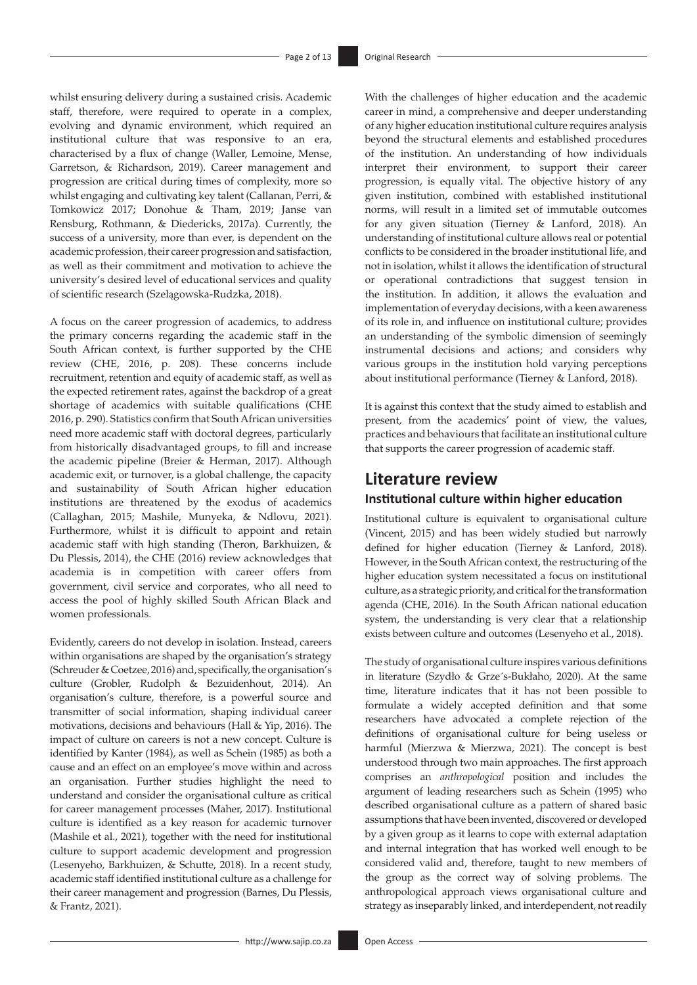whilst ensuring delivery during a sustained crisis. Academic staff, therefore, were required to operate in a complex, evolving and dynamic environment, which required an institutional culture that was responsive to an era, characterised by a flux of change (Waller, Lemoine, Mense, Garretson, & Richardson, 2019). Career management and progression are critical during times of complexity, more so whilst engaging and cultivating key talent (Callanan, Perri, & Tomkowicz 2017; Donohue & Tham, 2019; Janse van Rensburg, Rothmann, & Diedericks, 2017a). Currently, the success of a university, more than ever, is dependent on the academic profession, their career progression and satisfaction, as well as their commitment and motivation to achieve the university's desired level of educational services and quality of scientific research (Szelągowska-Rudzka, 2018).

A focus on the career progression of academics, to address the primary concerns regarding the academic staff in the South African context, is further supported by the CHE review (CHE, 2016, p. 208). These concerns include recruitment, retention and equity of academic staff, as well as the expected retirement rates, against the backdrop of a great shortage of academics with suitable qualifications (CHE 2016, p. 290). Statistics confirm that South African universities need more academic staff with doctoral degrees, particularly from historically disadvantaged groups, to fill and increase the academic pipeline (Breier & Herman, 2017). Although academic exit, or turnover, is a global challenge, the capacity and sustainability of South African higher education institutions are threatened by the exodus of academics (Callaghan, 2015; Mashile, Munyeka, & Ndlovu, 2021). Furthermore, whilst it is difficult to appoint and retain academic staff with high standing (Theron, Barkhuizen, & Du Plessis, 2014), the CHE (2016) review acknowledges that academia is in competition with career offers from government, civil service and corporates, who all need to access the pool of highly skilled South African Black and women professionals.

Evidently, careers do not develop in isolation. Instead, careers within organisations are shaped by the organisation's strategy (Schreuder & Coetzee, 2016) and, specifically, the organisation's culture (Grobler, Rudolph & Bezuidenhout, 2014). An organisation's culture, therefore, is a powerful source and transmitter of social information, shaping individual career motivations, decisions and behaviours (Hall & Yip, 2016). The impact of culture on careers is not a new concept. Culture is identified by Kanter (1984), as well as Schein (1985) as both a cause and an effect on an employee's move within and across an organisation. Further studies highlight the need to understand and consider the organisational culture as critical for career management processes (Maher, 2017). Institutional culture is identified as a key reason for academic turnover (Mashile et al., 2021), together with the need for institutional culture to support academic development and progression (Lesenyeho, Barkhuizen, & Schutte, 2018). In a recent study, academic staff identified institutional culture as a challenge for their career management and progression (Barnes, Du Plessis, & Frantz, 2021).

With the challenges of higher education and the academic career in mind, a comprehensive and deeper understanding of any higher education institutional culture requires analysis beyond the structural elements and established procedures of the institution. An understanding of how individuals interpret their environment, to support their career progression, is equally vital. The objective history of any given institution, combined with established institutional norms, will result in a limited set of immutable outcomes for any given situation (Tierney & Lanford, 2018). An understanding of institutional culture allows real or potential conflicts to be considered in the broader institutional life, and not in isolation, whilst it allows the identification of structural or operational contradictions that suggest tension in the institution. In addition, it allows the evaluation and implementation of everyday decisions, with a keen awareness of its role in, and influence on institutional culture; provides an understanding of the symbolic dimension of seemingly instrumental decisions and actions; and considers why various groups in the institution hold varying perceptions about institutional performance (Tierney & Lanford, 2018).

It is against this context that the study aimed to establish and present, from the academics' point of view, the values, practices and behaviours that facilitate an institutional culture that supports the career progression of academic staff.

## **Literature review**

### **Institutional culture within higher education**

Institutional culture is equivalent to organisational culture (Vincent, 2015) and has been widely studied but narrowly defined for higher education (Tierney & Lanford, 2018). However, in the South African context, the restructuring of the higher education system necessitated a focus on institutional culture, as a strategic priority, and critical for the transformation agenda (CHE, 2016). In the South African national education system, the understanding is very clear that a relationship exists between culture and outcomes (Lesenyeho et al., 2018).

The study of organisational culture inspires various definitions in literature (Szydło & Grze´s-Bukłaho, 2020). At the same time, literature indicates that it has not been possible to formulate a widely accepted definition and that some researchers have advocated a complete rejection of the definitions of organisational culture for being useless or harmful (Mierzwa & Mierzwa, 2021). The concept is best understood through two main approaches. The first approach comprises an *anthropological* position and includes the argument of leading researchers such as Schein (1995) who described organisational culture as a pattern of shared basic assumptions that have been invented, discovered or developed by a given group as it learns to cope with external adaptation and internal integration that has worked well enough to be considered valid and, therefore, taught to new members of the group as the correct way of solving problems. The anthropological approach views organisational culture and strategy as inseparably linked, and interdependent, not readily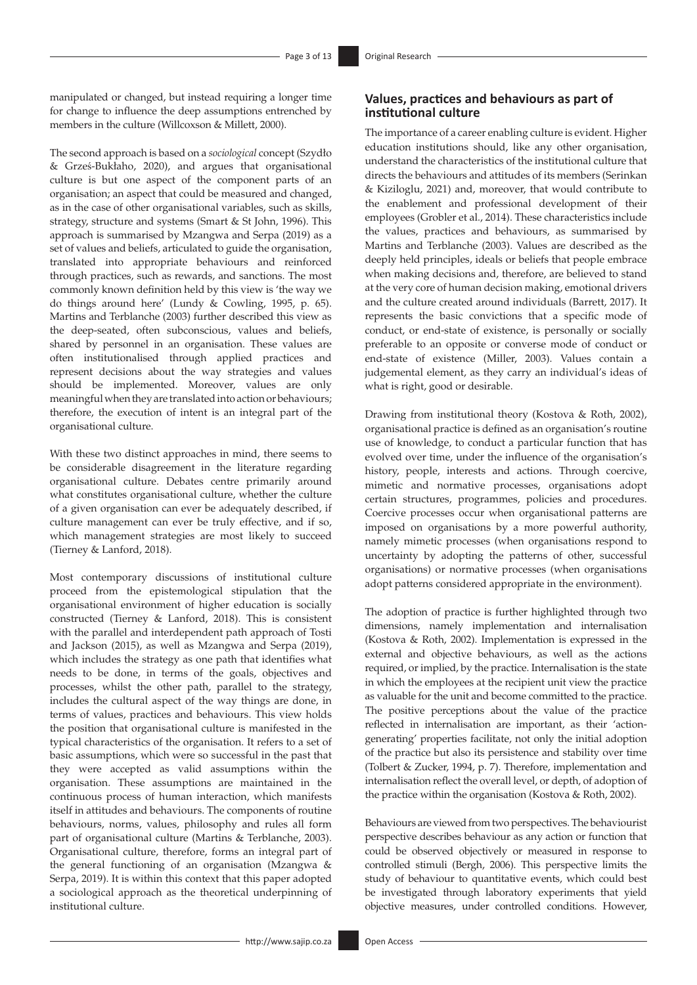manipulated or changed, but instead requiring a longer time for change to influence the deep assumptions entrenched by members in the culture (Willcoxson & Millett, 2000).

The second approach is based on a *sociological* concept (Szydło & Grześ-Bukłaho, 2020), and argues that organisational culture is but one aspect of the component parts of an organisation; an aspect that could be measured and changed, as in the case of other organisational variables, such as skills, strategy, structure and systems (Smart & St John, 1996). This approach is summarised by Mzangwa and Serpa (2019) as a set of values and beliefs, articulated to guide the organisation, translated into appropriate behaviours and reinforced through practices, such as rewards, and sanctions. The most commonly known definition held by this view is 'the way we do things around here' (Lundy & Cowling, 1995, p. 65). Martins and Terblanche (2003) further described this view as the deep-seated, often subconscious, values and beliefs, shared by personnel in an organisation. These values are often institutionalised through applied practices and represent decisions about the way strategies and values should be implemented. Moreover, values are only meaningful when they are translated into action or behaviours; therefore, the execution of intent is an integral part of the organisational culture.

With these two distinct approaches in mind, there seems to be considerable disagreement in the literature regarding organisational culture. Debates centre primarily around what constitutes organisational culture, whether the culture of a given organisation can ever be adequately described, if culture management can ever be truly effective, and if so, which management strategies are most likely to succeed (Tierney & Lanford, 2018).

Most contemporary discussions of institutional culture proceed from the epistemological stipulation that the organisational environment of higher education is socially constructed (Tierney & Lanford, 2018). This is consistent with the parallel and interdependent path approach of Tosti and Jackson (2015), as well as Mzangwa and Serpa (2019), which includes the strategy as one path that identifies what needs to be done, in terms of the goals, objectives and processes, whilst the other path, parallel to the strategy, includes the cultural aspect of the way things are done, in terms of values, practices and behaviours. This view holds the position that organisational culture is manifested in the typical characteristics of the organisation. It refers to a set of basic assumptions, which were so successful in the past that they were accepted as valid assumptions within the organisation. These assumptions are maintained in the continuous process of human interaction, which manifests itself in attitudes and behaviours. The components of routine behaviours, norms, values, philosophy and rules all form part of organisational culture (Martins & Terblanche, 2003). Organisational culture, therefore, forms an integral part of the general functioning of an organisation (Mzangwa & Serpa, 2019). It is within this context that this paper adopted a sociological approach as the theoretical underpinning of institutional culture.

### **Values, practices and behaviours as part of institutional culture**

The importance of a career enabling culture is evident. Higher education institutions should, like any other organisation, understand the characteristics of the institutional culture that directs the behaviours and attitudes of its members (Serinkan & Kiziloglu, 2021) and, moreover, that would contribute to the enablement and professional development of their employees (Grobler et al., 2014). These characteristics include the values, practices and behaviours, as summarised by Martins and Terblanche (2003). Values are described as the deeply held principles, ideals or beliefs that people embrace when making decisions and, therefore, are believed to stand at the very core of human decision making, emotional drivers and the culture created around individuals (Barrett, 2017). It represents the basic convictions that a specific mode of conduct, or end-state of existence, is personally or socially preferable to an opposite or converse mode of conduct or end-state of existence (Miller, 2003). Values contain a judgemental element, as they carry an individual's ideas of what is right, good or desirable.

Drawing from institutional theory (Kostova & Roth, 2002), organisational practice is defined as an organisation's routine use of knowledge, to conduct a particular function that has evolved over time, under the influence of the organisation's history, people, interests and actions. Through coercive, mimetic and normative processes, organisations adopt certain structures, programmes, policies and procedures. Coercive processes occur when organisational patterns are imposed on organisations by a more powerful authority, namely mimetic processes (when organisations respond to uncertainty by adopting the patterns of other, successful organisations) or normative processes (when organisations adopt patterns considered appropriate in the environment).

The adoption of practice is further highlighted through two dimensions, namely implementation and internalisation (Kostova & Roth, 2002). Implementation is expressed in the external and objective behaviours, as well as the actions required, or implied, by the practice. Internalisation is the state in which the employees at the recipient unit view the practice as valuable for the unit and become committed to the practice. The positive perceptions about the value of the practice reflected in internalisation are important, as their 'actiongenerating' properties facilitate, not only the initial adoption of the practice but also its persistence and stability over time (Tolbert & Zucker, 1994, p. 7). Therefore, implementation and internalisation reflect the overall level, or depth, of adoption of the practice within the organisation (Kostova & Roth, 2002).

Behaviours are viewed from two perspectives. The behaviourist perspective describes behaviour as any action or function that could be observed objectively or measured in response to controlled stimuli (Bergh, 2006). This perspective limits the study of behaviour to quantitative events, which could best be investigated through laboratory experiments that yield objective measures, under controlled conditions. However,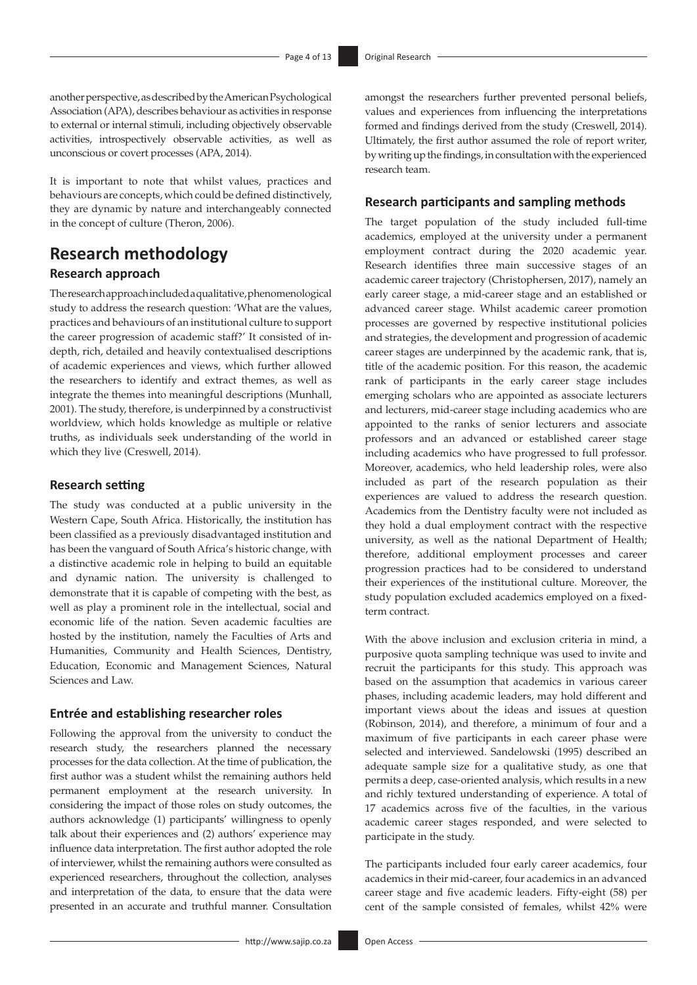another perspective, as described by the American Psychological Association (APA), describes behaviour as activities in response to external or internal stimuli, including objectively observable activities, introspectively observable activities, as well as unconscious or covert processes (APA, 2014).

It is important to note that whilst values, practices and behaviours are concepts, which could be defined distinctively, they are dynamic by nature and interchangeably connected in the concept of culture (Theron, 2006).

## **Research methodology**

### **Research approach**

The research approach included a qualitative, phenomenological study to address the research question: 'What are the values, practices and behaviours of an institutional culture to support the career progression of academic staff?' It consisted of indepth, rich, detailed and heavily contextualised descriptions of academic experiences and views, which further allowed the researchers to identify and extract themes, as well as integrate the themes into meaningful descriptions (Munhall, 2001). The study, therefore, is underpinned by a constructivist worldview, which holds knowledge as multiple or relative truths, as individuals seek understanding of the world in which they live (Creswell, 2014).

#### **Research setting**

The study was conducted at a public university in the Western Cape, South Africa. Historically, the institution has been classified as a previously disadvantaged institution and has been the vanguard of South Africa's historic change, with a distinctive academic role in helping to build an equitable and dynamic nation. The university is challenged to demonstrate that it is capable of competing with the best, as well as play a prominent role in the intellectual, social and economic life of the nation. Seven academic faculties are hosted by the institution, namely the Faculties of Arts and Humanities, Community and Health Sciences, Dentistry, Education, Economic and Management Sciences, Natural Sciences and Law.

#### **Entrée and establishing researcher roles**

Following the approval from the university to conduct the research study, the researchers planned the necessary processes for the data collection. At the time of publication, the first author was a student whilst the remaining authors held permanent employment at the research university. In considering the impact of those roles on study outcomes, the authors acknowledge (1) participants' willingness to openly talk about their experiences and (2) authors' experience may influence data interpretation. The first author adopted the role of interviewer, whilst the remaining authors were consulted as experienced researchers, throughout the collection, analyses and interpretation of the data, to ensure that the data were presented in an accurate and truthful manner. Consultation

amongst the researchers further prevented personal beliefs, values and experiences from influencing the interpretations formed and findings derived from the study (Creswell, 2014). Ultimately, the first author assumed the role of report writer, by writing up the findings, in consultation with the experienced research team.

#### **Research participants and sampling methods**

The target population of the study included full-time academics, employed at the university under a permanent employment contract during the 2020 academic year. Research identifies three main successive stages of an academic career trajectory (Christophersen, 2017), namely an early career stage, a mid-career stage and an established or advanced career stage. Whilst academic career promotion processes are governed by respective institutional policies and strategies, the development and progression of academic career stages are underpinned by the academic rank, that is, title of the academic position. For this reason, the academic rank of participants in the early career stage includes emerging scholars who are appointed as associate lecturers and lecturers, mid-career stage including academics who are appointed to the ranks of senior lecturers and associate professors and an advanced or established career stage including academics who have progressed to full professor. Moreover, academics, who held leadership roles, were also included as part of the research population as their experiences are valued to address the research question. Academics from the Dentistry faculty were not included as they hold a dual employment contract with the respective university, as well as the national Department of Health; therefore, additional employment processes and career progression practices had to be considered to understand their experiences of the institutional culture. Moreover, the study population excluded academics employed on a fixedterm contract.

With the above inclusion and exclusion criteria in mind, a purposive quota sampling technique was used to invite and recruit the participants for this study. This approach was based on the assumption that academics in various career phases, including academic leaders, may hold different and important views about the ideas and issues at question (Robinson, 2014), and therefore, a minimum of four and a maximum of five participants in each career phase were selected and interviewed. Sandelowski (1995) described an adequate sample size for a qualitative study, as one that permits a deep, case-oriented analysis, which results in a new and richly textured understanding of experience. A total of 17 academics across five of the faculties, in the various academic career stages responded, and were selected to participate in the study.

The participants included four early career academics, four academics in their mid-career, four academics in an advanced career stage and five academic leaders. Fifty-eight (58) per cent of the sample consisted of females, whilst 42% were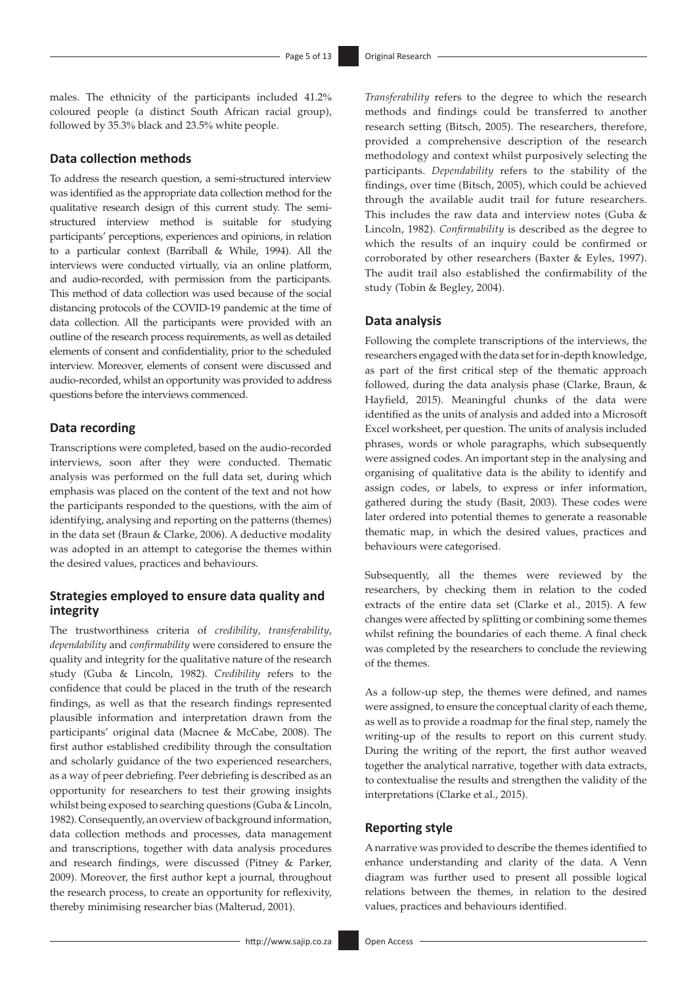males. The ethnicity of the participants included 41.2% coloured people (a distinct South African racial group), followed by 35.3% black and 23.5% white people.

#### **Data collection methods**

To address the research question, a semi-structured interview was identified as the appropriate data collection method for the qualitative research design of this current study. The semistructured interview method is suitable for studying participants' perceptions, experiences and opinions, in relation to a particular context (Barriball & While, 1994). All the interviews were conducted virtually, via an online platform, and audio-recorded, with permission from the participants. This method of data collection was used because of the social distancing protocols of the COVID-19 pandemic at the time of data collection. All the participants were provided with an outline of the research process requirements, as well as detailed elements of consent and confidentiality, prior to the scheduled interview. Moreover, elements of consent were discussed and audio-recorded, whilst an opportunity was provided to address questions before the interviews commenced.

#### **Data recording**

Transcriptions were completed, based on the audio-recorded interviews, soon after they were conducted. Thematic analysis was performed on the full data set, during which emphasis was placed on the content of the text and not how the participants responded to the questions, with the aim of identifying, analysing and reporting on the patterns (themes) in the data set (Braun & Clarke, 2006). A deductive modality was adopted in an attempt to categorise the themes within the desired values, practices and behaviours.

### **Strategies employed to ensure data quality and integrity**

The trustworthiness criteria of *credibility*, *transferability*, *dependability* and *confirmability* were considered to ensure the quality and integrity for the qualitative nature of the research study (Guba & Lincoln, 1982). *Credibility* refers to the confidence that could be placed in the truth of the research findings, as well as that the research findings represented plausible information and interpretation drawn from the participants' original data (Macnee & McCabe, 2008). The first author established credibility through the consultation and scholarly guidance of the two experienced researchers, as a way of peer debriefing. Peer debriefing is described as an opportunity for researchers to test their growing insights whilst being exposed to searching questions (Guba & Lincoln, 1982). Consequently, an overview of background information, data collection methods and processes, data management and transcriptions, together with data analysis procedures and research findings, were discussed (Pitney & Parker, 2009). Moreover, the first author kept a journal, throughout the research process, to create an opportunity for reflexivity, thereby minimising researcher bias (Malterud, 2001).

*Transferability* refers to the degree to which the research methods and findings could be transferred to another research setting (Bitsch, 2005). The researchers, therefore, provided a comprehensive description of the research methodology and context whilst purposively selecting the participants. *Dependability* refers to the stability of the findings, over time (Bitsch, 2005), which could be achieved through the available audit trail for future researchers. This includes the raw data and interview notes (Guba & Lincoln, 1982). *Confirmability* is described as the degree to which the results of an inquiry could be confirmed or corroborated by other researchers (Baxter & Eyles, 1997). The audit trail also established the confirmability of the study (Tobin & Begley, 2004).

#### **Data analysis**

Following the complete transcriptions of the interviews, the researchers engaged with the data set for in-depth knowledge, as part of the first critical step of the thematic approach followed, during the data analysis phase (Clarke, Braun, & Hayfield, 2015). Meaningful chunks of the data were identified as the units of analysis and added into a Microsoft Excel worksheet, per question. The units of analysis included phrases, words or whole paragraphs, which subsequently were assigned codes. An important step in the analysing and organising of qualitative data is the ability to identify and assign codes, or labels, to express or infer information, gathered during the study (Basit, 2003). These codes were later ordered into potential themes to generate a reasonable thematic map, in which the desired values, practices and behaviours were categorised.

Subsequently, all the themes were reviewed by the researchers, by checking them in relation to the coded extracts of the entire data set (Clarke et al., 2015). A few changes were affected by splitting or combining some themes whilst refining the boundaries of each theme. A final check was completed by the researchers to conclude the reviewing of the themes.

As a follow-up step, the themes were defined, and names were assigned, to ensure the conceptual clarity of each theme, as well as to provide a roadmap for the final step, namely the writing-up of the results to report on this current study. During the writing of the report, the first author weaved together the analytical narrative, together with data extracts, to contextualise the results and strengthen the validity of the interpretations (Clarke et al., 2015).

### **Reporting style**

A narrative was provided to describe the themes identified to enhance understanding and clarity of the data. A Venn diagram was further used to present all possible logical relations between the themes, in relation to the desired values, practices and behaviours identified.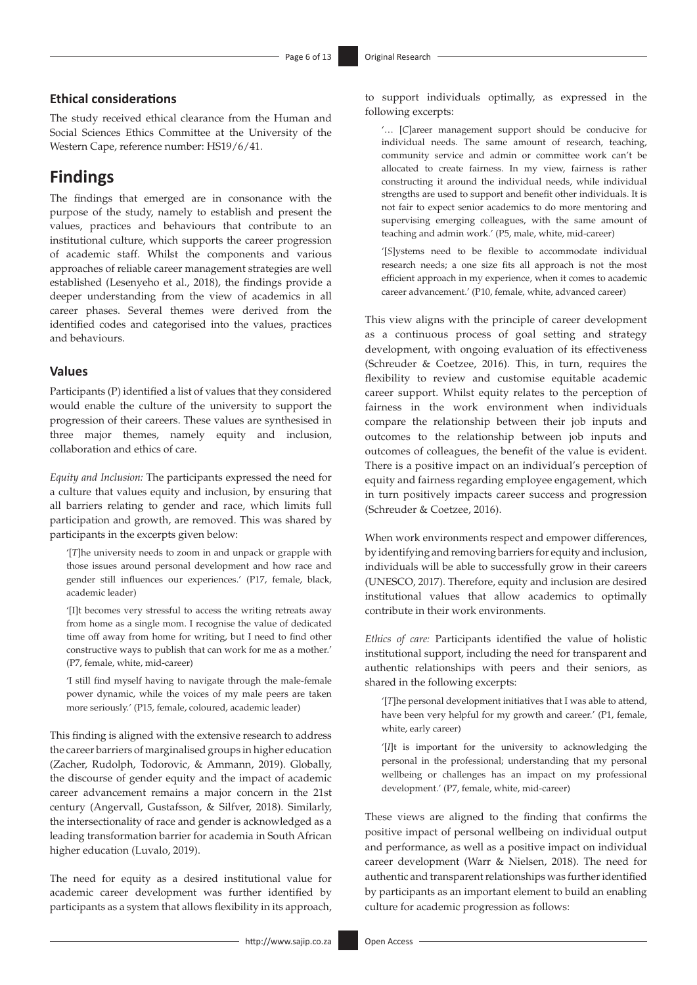### **Ethical considerations**

The study received ethical clearance from the Human and Social Sciences Ethics Committee at the University of the Western Cape, reference number: HS19/6/41.

## **Findings**

The findings that emerged are in consonance with the purpose of the study, namely to establish and present the values, practices and behaviours that contribute to an institutional culture, which supports the career progression of academic staff. Whilst the components and various approaches of reliable career management strategies are well established (Lesenyeho et al., 2018), the findings provide a deeper understanding from the view of academics in all career phases. Several themes were derived from the identified codes and categorised into the values, practices and behaviours.

#### **Values**

Participants (P) identified a list of values that they considered would enable the culture of the university to support the progression of their careers. These values are synthesised in three major themes, namely equity and inclusion, collaboration and ethics of care.

*Equity and Inclusion:* The participants expressed the need for a culture that values equity and inclusion, by ensuring that all barriers relating to gender and race, which limits full participation and growth, are removed. This was shared by participants in the excerpts given below:

'[*T*]he university needs to zoom in and unpack or grapple with those issues around personal development and how race and gender still influences our experiences.' (P17, female, black, academic leader)

'[I]t becomes very stressful to access the writing retreats away from home as a single mom. I recognise the value of dedicated time off away from home for writing, but I need to find other constructive ways to publish that can work for me as a mother.' (P7, female, white, mid-career)

'I still find myself having to navigate through the male-female power dynamic, while the voices of my male peers are taken more seriously.' (P15, female, coloured, academic leader)

This finding is aligned with the extensive research to address the career barriers of marginalised groups in higher education (Zacher, Rudolph, Todorovic, & Ammann, 2019). Globally, the discourse of gender equity and the impact of academic career advancement remains a major concern in the 21st century (Angervall, Gustafsson, & Silfver, 2018). Similarly, the intersectionality of race and gender is acknowledged as a leading transformation barrier for academia in South African higher education (Luvalo, 2019).

The need for equity as a desired institutional value for academic career development was further identified by participants as a system that allows flexibility in its approach,

to support individuals optimally, as expressed in the following excerpts:

'… [*C*]areer management support should be conducive for individual needs. The same amount of research, teaching, community service and admin or committee work can't be allocated to create fairness. In my view, fairness is rather constructing it around the individual needs, while individual strengths are used to support and benefit other individuals. It is not fair to expect senior academics to do more mentoring and supervising emerging colleagues, with the same amount of teaching and admin work.' (P5, male, white, mid-career)

'[*S*]ystems need to be flexible to accommodate individual research needs; a one size fits all approach is not the most efficient approach in my experience, when it comes to academic career advancement.' (P10, female, white, advanced career)

This view aligns with the principle of career development as a continuous process of goal setting and strategy development, with ongoing evaluation of its effectiveness (Schreuder & Coetzee, 2016). This, in turn, requires the flexibility to review and customise equitable academic career support. Whilst equity relates to the perception of fairness in the work environment when individuals compare the relationship between their job inputs and outcomes to the relationship between job inputs and outcomes of colleagues, the benefit of the value is evident. There is a positive impact on an individual's perception of equity and fairness regarding employee engagement, which in turn positively impacts career success and progression (Schreuder & Coetzee, 2016).

When work environments respect and empower differences, by identifying and removing barriers for equity and inclusion, individuals will be able to successfully grow in their careers (UNESCO, 2017). Therefore, equity and inclusion are desired institutional values that allow academics to optimally contribute in their work environments.

*Ethics of care:* Participants identified the value of holistic institutional support, including the need for transparent and authentic relationships with peers and their seniors, as shared in the following excerpts:

'[*T*]he personal development initiatives that I was able to attend, have been very helpful for my growth and career.' (P1, female, white, early career)

'[*I*]t is important for the university to acknowledging the personal in the professional; understanding that my personal wellbeing or challenges has an impact on my professional development.' (P7, female, white, mid-career)

These views are aligned to the finding that confirms the positive impact of personal wellbeing on individual output and performance, as well as a positive impact on individual career development (Warr & Nielsen, 2018). The need for authentic and transparent relationships was further identified by participants as an important element to build an enabling culture for academic progression as follows: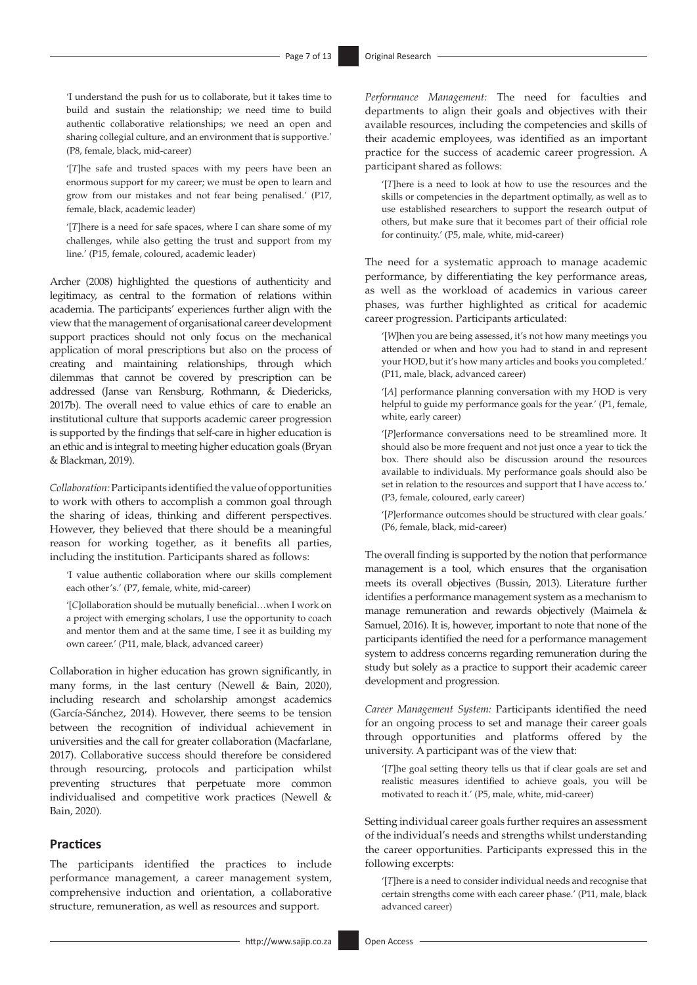'I understand the push for us to collaborate, but it takes time to build and sustain the relationship; we need time to build authentic collaborative relationships; we need an open and sharing collegial culture, and an environment that is supportive.' (P8, female, black, mid-career)

'[*T*]he safe and trusted spaces with my peers have been an enormous support for my career; we must be open to learn and grow from our mistakes and not fear being penalised.' (P17, female, black, academic leader)

'[*T*]here is a need for safe spaces, where I can share some of my challenges, while also getting the trust and support from my line.' (P15, female, coloured, academic leader)

Archer (2008) highlighted the questions of authenticity and legitimacy, as central to the formation of relations within academia. The participants' experiences further align with the view that the management of organisational career development support practices should not only focus on the mechanical application of moral prescriptions but also on the process of creating and maintaining relationships, through which dilemmas that cannot be covered by prescription can be addressed (Janse van Rensburg, Rothmann, & Diedericks, 2017b). The overall need to value ethics of care to enable an institutional culture that supports academic career progression is supported by the findings that self-care in higher education is an ethic and is integral to meeting higher education goals (Bryan & Blackman, 2019).

*Collaboration:* Participants identified the value of opportunities to work with others to accomplish a common goal through the sharing of ideas, thinking and different perspectives. However, they believed that there should be a meaningful reason for working together, as it benefits all parties, including the institution. Participants shared as follows:

'I value authentic collaboration where our skills complement each other's.' (P7, female, white, mid-career)

'[*C*]ollaboration should be mutually beneficial…when I work on a project with emerging scholars, I use the opportunity to coach and mentor them and at the same time, I see it as building my own career.' (P11, male, black, advanced career)

Collaboration in higher education has grown significantly, in many forms, in the last century (Newell & Bain, 2020), including research and scholarship amongst academics (García-Sánchez, 2014). However, there seems to be tension between the recognition of individual achievement in universities and the call for greater collaboration (Macfarlane, 2017). Collaborative success should therefore be considered through resourcing, protocols and participation whilst preventing structures that perpetuate more common individualised and competitive work practices (Newell & Bain, 2020).

#### **Practices**

The participants identified the practices to include performance management, a career management system, comprehensive induction and orientation, a collaborative structure, remuneration, as well as resources and support.

*Performance Management:* The need for faculties and departments to align their goals and objectives with their available resources, including the competencies and skills of their academic employees, was identified as an important practice for the success of academic career progression. A participant shared as follows:

'[*T*]here is a need to look at how to use the resources and the skills or competencies in the department optimally, as well as to use established researchers to support the research output of others, but make sure that it becomes part of their official role for continuity.' (P5, male, white, mid-career)

The need for a systematic approach to manage academic performance, by differentiating the key performance areas, as well as the workload of academics in various career phases, was further highlighted as critical for academic career progression. Participants articulated:

'[*W*]hen you are being assessed, it's not how many meetings you attended or when and how you had to stand in and represent your HOD, but it's how many articles and books you completed.' (P11, male, black, advanced career)

'[*A*] performance planning conversation with my HOD is very helpful to guide my performance goals for the year.' (P1, female, white, early career)

'[*P*]erformance conversations need to be streamlined more. It should also be more frequent and not just once a year to tick the box. There should also be discussion around the resources available to individuals. My performance goals should also be set in relation to the resources and support that I have access to.' (P3, female, coloured, early career)

'[*P*]erformance outcomes should be structured with clear goals.' (P6, female, black, mid-career)

The overall finding is supported by the notion that performance management is a tool, which ensures that the organisation meets its overall objectives (Bussin, 2013). Literature further identifies a performance management system as a mechanism to manage remuneration and rewards objectively (Maimela & Samuel, 2016). It is, however, important to note that none of the participants identified the need for a performance management system to address concerns regarding remuneration during the study but solely as a practice to support their academic career development and progression.

*Career Management System:* Participants identified the need for an ongoing process to set and manage their career goals through opportunities and platforms offered by the university. A participant was of the view that:

'[*T*]he goal setting theory tells us that if clear goals are set and realistic measures identified to achieve goals, you will be motivated to reach it.' (P5, male, white, mid-career)

Setting individual career goals further requires an assessment of the individual's needs and strengths whilst understanding the career opportunities. Participants expressed this in the following excerpts:

'[*T*]here is a need to consider individual needs and recognise that certain strengths come with each career phase.' (P11, male, black advanced career)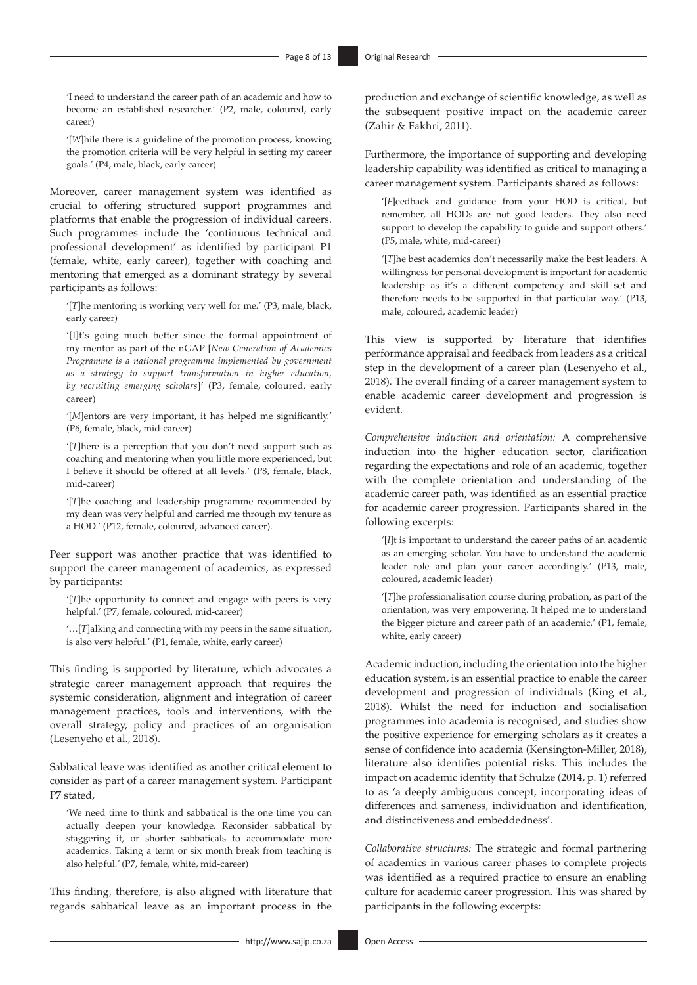'I need to understand the career path of an academic and how to become an established researcher.' (P2, male, coloured, early career)

'[*W*]hile there is a guideline of the promotion process, knowing the promotion criteria will be very helpful in setting my career goals.' (P4, male, black, early career)

Moreover, career management system was identified as crucial to offering structured support programmes and platforms that enable the progression of individual careers. Such programmes include the 'continuous technical and professional development' as identified by participant P1 (female, white, early career), together with coaching and mentoring that emerged as a dominant strategy by several participants as follows:

'[*T*]he mentoring is working very well for me.' (P3, male, black, early career)

'[I]t's going much better since the formal appointment of my mentor as part of the nGAP [*New Generation of Academics Programme is a national programme implemented by government as a strategy to support transformation in higher education, by recruiting emerging scholars*]' (P3, female, coloured, early career)

'[*M*]entors are very important, it has helped me significantly.' (P6, female, black, mid-career)

'[*T*]here is a perception that you don't need support such as coaching and mentoring when you little more experienced, but I believe it should be offered at all levels.' (P8, female, black, mid-career)

'[*T*]he coaching and leadership programme recommended by my dean was very helpful and carried me through my tenure as a HOD.' (P12, female, coloured, advanced career).

Peer support was another practice that was identified to support the career management of academics, as expressed by participants:

'[*T*]he opportunity to connect and engage with peers is very helpful.' (P7, female, coloured, mid-career)

'…[*T*]alking and connecting with my peers in the same situation, is also very helpful.' (P1, female, white, early career)

This finding is supported by literature, which advocates a strategic career management approach that requires the systemic consideration, alignment and integration of career management practices, tools and interventions, with the overall strategy, policy and practices of an organisation (Lesenyeho et al., 2018).

Sabbatical leave was identified as another critical element to consider as part of a career management system. Participant P7 stated,

'We need time to think and sabbatical is the one time you can actually deepen your knowledge. Reconsider sabbatical by staggering it, or shorter sabbaticals to accommodate more academics. Taking a term or six month break from teaching is also helpful.*'* (P7, female, white, mid-career)

This finding, therefore, is also aligned with literature that regards sabbatical leave as an important process in the

<http://www.sajip.co.za> Open Access

production and exchange of scientific knowledge, as well as the subsequent positive impact on the academic career (Zahir & Fakhri, 2011).

Furthermore, the importance of supporting and developing leadership capability was identified as critical to managing a career management system. Participants shared as follows:

'[*F*]eedback and guidance from your HOD is critical, but remember, all HODs are not good leaders. They also need support to develop the capability to guide and support others.' (P5, male, white, mid-career)

'[*T*]he best academics don't necessarily make the best leaders. A willingness for personal development is important for academic leadership as it's a different competency and skill set and therefore needs to be supported in that particular way.' (P13, male, coloured, academic leader)

This view is supported by literature that identifies performance appraisal and feedback from leaders as a critical step in the development of a career plan (Lesenyeho et al., 2018). The overall finding of a career management system to enable academic career development and progression is evident.

*Comprehensive induction and orientation:* A comprehensive induction into the higher education sector, clarification regarding the expectations and role of an academic, together with the complete orientation and understanding of the academic career path, was identified as an essential practice for academic career progression. Participants shared in the following excerpts:

'[*I*]t is important to understand the career paths of an academic as an emerging scholar. You have to understand the academic leader role and plan your career accordingly.' (P13, male, coloured, academic leader)

'[*T*]he professionalisation course during probation, as part of the orientation, was very empowering. It helped me to understand the bigger picture and career path of an academic.' (P1, female, white, early career)

Academic induction, including the orientation into the higher education system, is an essential practice to enable the career development and progression of individuals (King et al., 2018). Whilst the need for induction and socialisation programmes into academia is recognised, and studies show the positive experience for emerging scholars as it creates a sense of confidence into academia (Kensington-Miller, 2018), literature also identifies potential risks. This includes the impact on academic identity that Schulze (2014, p. 1) referred to as 'a deeply ambiguous concept, incorporating ideas of differences and sameness, individuation and identification, and distinctiveness and embeddedness'.

*Collaborative structures:* The strategic and formal partnering of academics in various career phases to complete projects was identified as a required practice to ensure an enabling culture for academic career progression. This was shared by participants in the following excerpts: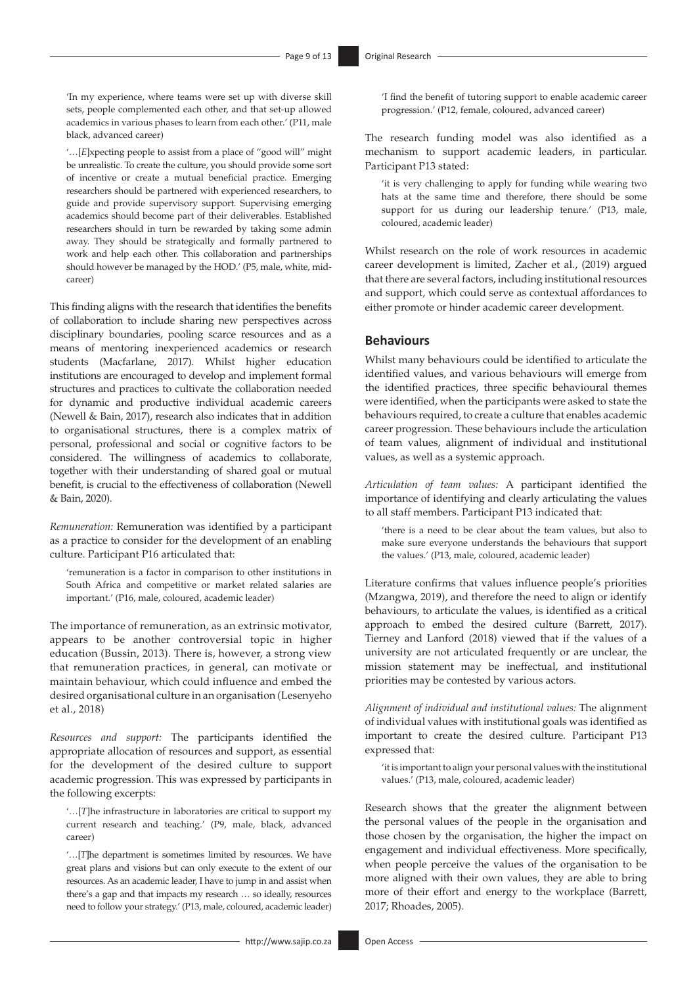'In my experience, where teams were set up with diverse skill sets, people complemented each other, and that set-up allowed academics in various phases to learn from each other.' (P11, male black, advanced career)

'…[*E*]xpecting people to assist from a place of "good will" might be unrealistic. To create the culture, you should provide some sort of incentive or create a mutual beneficial practice. Emerging researchers should be partnered with experienced researchers, to guide and provide supervisory support. Supervising emerging academics should become part of their deliverables. Established researchers should in turn be rewarded by taking some admin away. They should be strategically and formally partnered to work and help each other. This collaboration and partnerships should however be managed by the HOD.' (P5, male, white, midcareer)

This finding aligns with the research that identifies the benefits of collaboration to include sharing new perspectives across disciplinary boundaries, pooling scarce resources and as a means of mentoring inexperienced academics or research students (Macfarlane, 2017). Whilst higher education institutions are encouraged to develop and implement formal structures and practices to cultivate the collaboration needed for dynamic and productive individual academic careers (Newell & Bain, 2017), research also indicates that in addition to organisational structures, there is a complex matrix of personal, professional and social or cognitive factors to be considered. The willingness of academics to collaborate, together with their understanding of shared goal or mutual benefit, is crucial to the effectiveness of collaboration (Newell & Bain, 2020).

*Remuneration:* Remuneration was identified by a participant as a practice to consider for the development of an enabling culture. Participant P16 articulated that:

'remuneration is a factor in comparison to other institutions in South Africa and competitive or market related salaries are important.' (P16, male, coloured, academic leader)

The importance of remuneration, as an extrinsic motivator, appears to be another controversial topic in higher education (Bussin, 2013). There is, however, a strong view that remuneration practices, in general, can motivate or maintain behaviour, which could influence and embed the desired organisational culture in an organisation (Lesenyeho et al., 2018)

*Resources and support:* The participants identified the appropriate allocation of resources and support, as essential for the development of the desired culture to support academic progression. This was expressed by participants in the following excerpts:

'…[*T*]he infrastructure in laboratories are critical to support my current research and teaching.' (P9, male, black, advanced career)

'…[*T*]he department is sometimes limited by resources. We have great plans and visions but can only execute to the extent of our resources. As an academic leader, I have to jump in and assist when there's a gap and that impacts my research … so ideally, resources need to follow your strategy.' (P13, male, coloured, academic leader)

'I find the benefit of tutoring support to enable academic career progression.' (P12, female, coloured, advanced career)

The research funding model was also identified as a mechanism to support academic leaders, in particular. Participant P13 stated:

'it is very challenging to apply for funding while wearing two hats at the same time and therefore, there should be some support for us during our leadership tenure.' (P13, male, coloured, academic leader)

Whilst research on the role of work resources in academic career development is limited, Zacher et al., (2019) argued that there are several factors, including institutional resources and support, which could serve as contextual affordances to either promote or hinder academic career development.

#### **Behaviours**

Whilst many behaviours could be identified to articulate the identified values, and various behaviours will emerge from the identified practices, three specific behavioural themes were identified, when the participants were asked to state the behaviours required, to create a culture that enables academic career progression. These behaviours include the articulation of team values, alignment of individual and institutional values, as well as a systemic approach.

*Articulation of team values:* A participant identified the importance of identifying and clearly articulating the values to all staff members. Participant P13 indicated that:

'there is a need to be clear about the team values, but also to make sure everyone understands the behaviours that support the values.' (P13, male, coloured, academic leader)

Literature confirms that values influence people's priorities (Mzangwa, 2019), and therefore the need to align or identify behaviours, to articulate the values, is identified as a critical approach to embed the desired culture (Barrett, 2017). Tierney and Lanford (2018) viewed that if the values of a university are not articulated frequently or are unclear, the mission statement may be ineffectual, and institutional priorities may be contested by various actors.

*Alignment of individual and institutional values:* The alignment of individual values with institutional goals was identified as important to create the desired culture. Participant P13 expressed that:

'it is important to align your personal values with the institutional values.' (P13, male, coloured, academic leader)

Research shows that the greater the alignment between the personal values of the people in the organisation and those chosen by the organisation, the higher the impact on engagement and individual effectiveness. More specifically, when people perceive the values of the organisation to be more aligned with their own values, they are able to bring more of their effort and energy to the workplace (Barrett, 2017; Rhoades, 2005).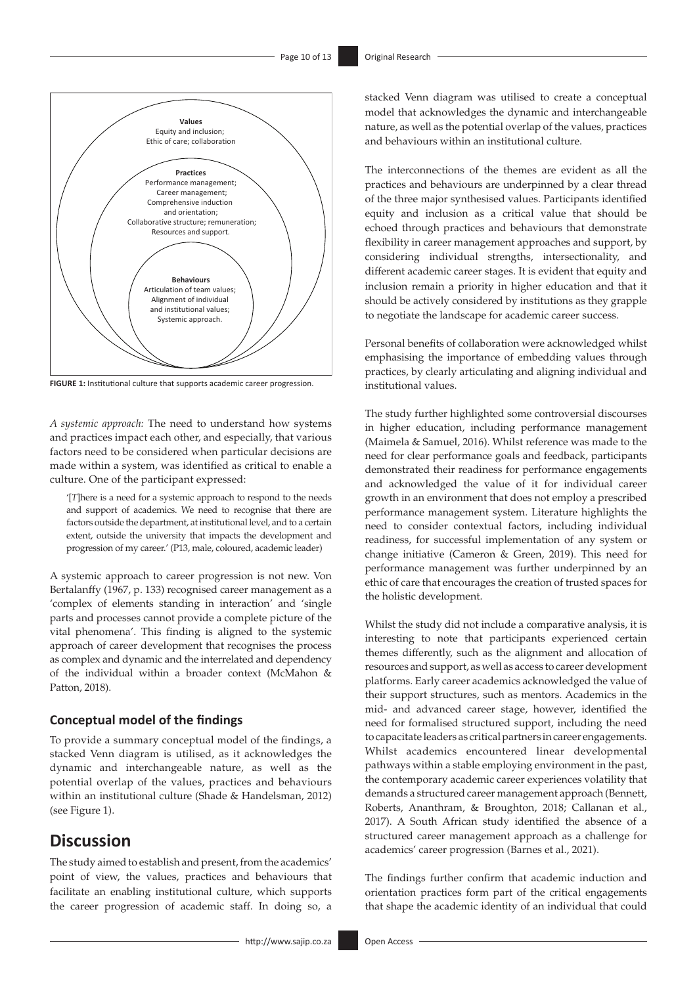

**FIGURE 1:** Institutional culture that supports academic career progression.

*A systemic approach:* The need to understand how systems and practices impact each other, and especially, that various factors need to be considered when particular decisions are made within a system, was identified as critical to enable a culture. One of the participant expressed:

'[*T*]here is a need for a systemic approach to respond to the needs and support of academics. We need to recognise that there are factors outside the department, at institutional level, and to a certain extent, outside the university that impacts the development and progression of my career.' (P13, male, coloured, academic leader)

A systemic approach to career progression is not new. Von Bertalanffy (1967, p. 133) recognised career management as a 'complex of elements standing in interaction' and 'single parts and processes cannot provide a complete picture of the vital phenomena'. This finding is aligned to the systemic approach of career development that recognises the process as complex and dynamic and the interrelated and dependency of the individual within a broader context (McMahon & Patton, 2018).

### **Conceptual model of the findings**

To provide a summary conceptual model of the findings, a stacked Venn diagram is utilised, as it acknowledges the dynamic and interchangeable nature, as well as the potential overlap of the values, practices and behaviours within an institutional culture (Shade & Handelsman, 2012) (see Figure 1).

## **Discussion**

The study aimed to establish and present, from the academics' point of view, the values, practices and behaviours that facilitate an enabling institutional culture, which supports the career progression of academic staff. In doing so, a

stacked Venn diagram was utilised to create a conceptual model that acknowledges the dynamic and interchangeable nature, as well as the potential overlap of the values, practices and behaviours within an institutional culture.

The interconnections of the themes are evident as all the practices and behaviours are underpinned by a clear thread of the three major synthesised values. Participants identified equity and inclusion as a critical value that should be echoed through practices and behaviours that demonstrate flexibility in career management approaches and support, by considering individual strengths, intersectionality, and different academic career stages. It is evident that equity and inclusion remain a priority in higher education and that it should be actively considered by institutions as they grapple to negotiate the landscape for academic career success.

Personal benefits of collaboration were acknowledged whilst emphasising the importance of embedding values through practices, by clearly articulating and aligning individual and institutional values.

The study further highlighted some controversial discourses in higher education, including performance management (Maimela & Samuel, 2016). Whilst reference was made to the need for clear performance goals and feedback, participants demonstrated their readiness for performance engagements and acknowledged the value of it for individual career growth in an environment that does not employ a prescribed performance management system. Literature highlights the need to consider contextual factors, including individual readiness, for successful implementation of any system or change initiative (Cameron & Green, 2019). This need for performance management was further underpinned by an ethic of care that encourages the creation of trusted spaces for the holistic development.

Whilst the study did not include a comparative analysis, it is interesting to note that participants experienced certain themes differently, such as the alignment and allocation of resources and support, as well as access to career development platforms. Early career academics acknowledged the value of their support structures, such as mentors. Academics in the mid- and advanced career stage, however, identified the need for formalised structured support, including the need to capacitate leaders as critical partners in career engagements. Whilst academics encountered linear developmental pathways within a stable employing environment in the past, the contemporary academic career experiences volatility that demands a structured career management approach (Bennett, Roberts, Ananthram, & Broughton, 2018; Callanan et al., 2017). A South African study identified the absence of a structured career management approach as a challenge for academics' career progression (Barnes et al., 2021).

The findings further confirm that academic induction and orientation practices form part of the critical engagements that shape the academic identity of an individual that could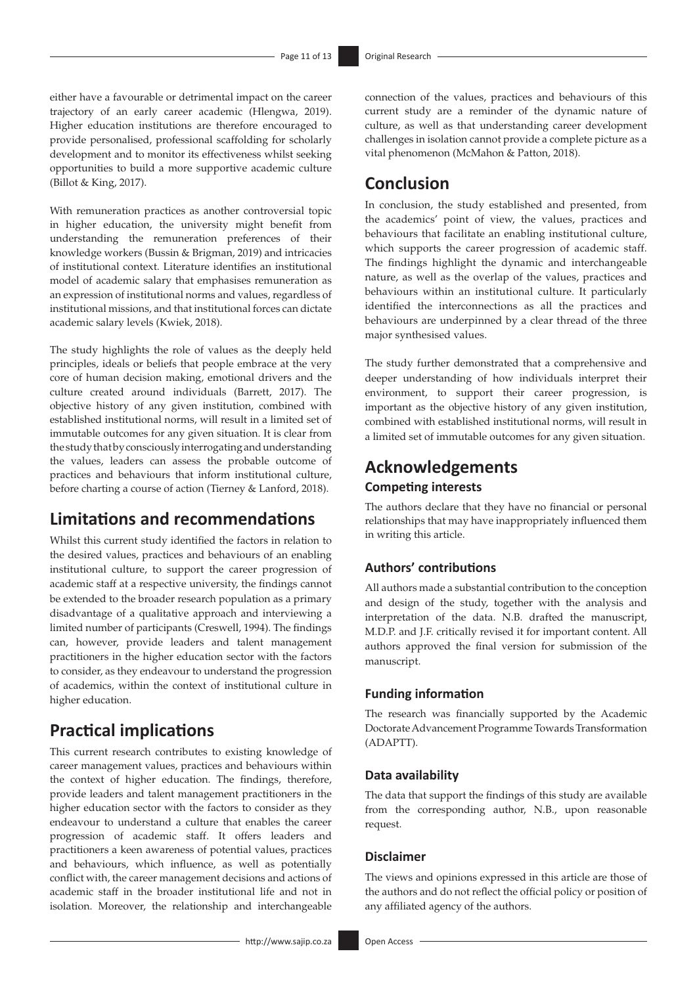either have a favourable or detrimental impact on the career trajectory of an early career academic (Hlengwa, 2019). Higher education institutions are therefore encouraged to provide personalised, professional scaffolding for scholarly development and to monitor its effectiveness whilst seeking opportunities to build a more supportive academic culture (Billot & King, 2017).

With remuneration practices as another controversial topic in higher education, the university might benefit from understanding the remuneration preferences of their knowledge workers (Bussin & Brigman, 2019) and intricacies of institutional context. Literature identifies an institutional model of academic salary that emphasises remuneration as an expression of institutional norms and values, regardless of institutional missions, and that institutional forces can dictate academic salary levels (Kwiek, 2018).

The study highlights the role of values as the deeply held principles, ideals or beliefs that people embrace at the very core of human decision making, emotional drivers and the culture created around individuals (Barrett, 2017). The objective history of any given institution, combined with established institutional norms, will result in a limited set of immutable outcomes for any given situation. It is clear from the study that by consciously interrogating and understanding the values, leaders can assess the probable outcome of practices and behaviours that inform institutional culture, before charting a course of action (Tierney & Lanford, 2018).

## **Limitations and recommendations**

Whilst this current study identified the factors in relation to the desired values, practices and behaviours of an enabling institutional culture, to support the career progression of academic staff at a respective university, the findings cannot be extended to the broader research population as a primary disadvantage of a qualitative approach and interviewing a limited number of participants (Creswell, 1994). The findings can, however, provide leaders and talent management practitioners in the higher education sector with the factors to consider, as they endeavour to understand the progression of academics, within the context of institutional culture in higher education.

## **Practical implications**

This current research contributes to existing knowledge of career management values, practices and behaviours within the context of higher education. The findings, therefore, provide leaders and talent management practitioners in the higher education sector with the factors to consider as they endeavour to understand a culture that enables the career progression of academic staff. It offers leaders and practitioners a keen awareness of potential values, practices and behaviours, which influence, as well as potentially conflict with, the career management decisions and actions of academic staff in the broader institutional life and not in isolation. Moreover, the relationship and interchangeable

connection of the values, practices and behaviours of this current study are a reminder of the dynamic nature of culture, as well as that understanding career development challenges in isolation cannot provide a complete picture as a vital phenomenon (McMahon & Patton, 2018).

## **Conclusion**

In conclusion, the study established and presented, from the academics' point of view, the values, practices and behaviours that facilitate an enabling institutional culture, which supports the career progression of academic staff. The findings highlight the dynamic and interchangeable nature, as well as the overlap of the values, practices and behaviours within an institutional culture. It particularly identified the interconnections as all the practices and behaviours are underpinned by a clear thread of the three major synthesised values.

The study further demonstrated that a comprehensive and deeper understanding of how individuals interpret their environment, to support their career progression, is important as the objective history of any given institution, combined with established institutional norms, will result in a limited set of immutable outcomes for any given situation.

## **Acknowledgements Competing interests**

The authors declare that they have no financial or personal relationships that may have inappropriately influenced them in writing this article.

### **Authors' contributions**

All authors made a substantial contribution to the conception and design of the study, together with the analysis and interpretation of the data. N.B. drafted the manuscript, M.D.P. and J.F. critically revised it for important content. All authors approved the final version for submission of the manuscript.

### **Funding information**

The research was financially supported by the Academic Doctorate Advancement Programme Towards Transformation (ADAPTT).

### **Data availability**

The data that support the findings of this study are available from the corresponding author, N.B., upon reasonable request.

### **Disclaimer**

The views and opinions expressed in this article are those of the authors and do not reflect the official policy or position of any affiliated agency of the authors.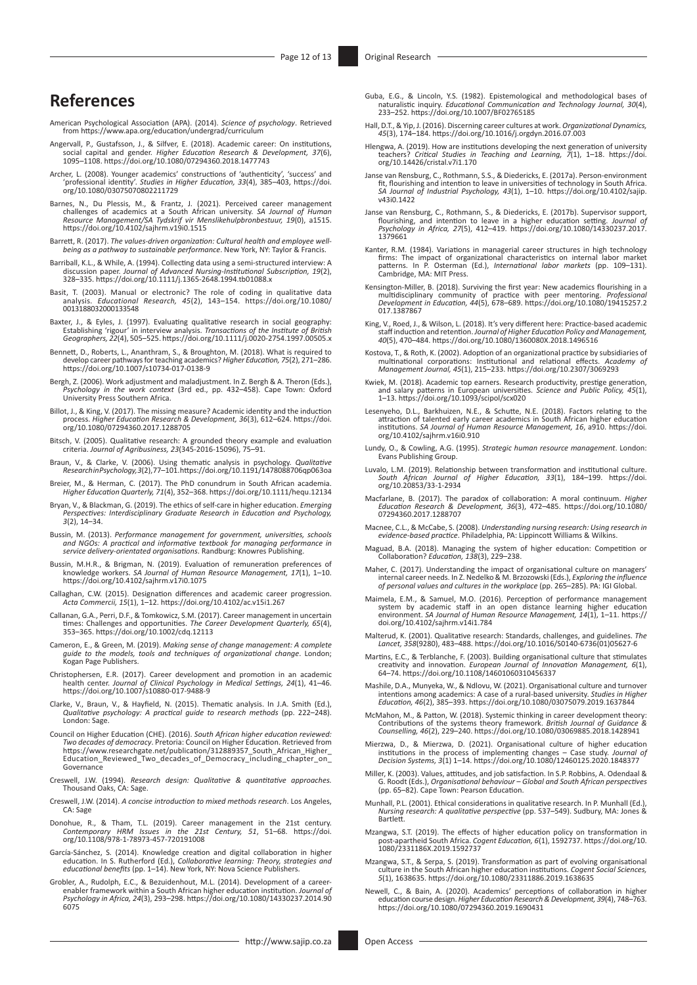## **References**

- American Psychological Association (APA). (2014). *Science of psychology*. Retrieved from<https://www.apa.org/education/undergrad/curriculum>
- Angervall, P., Gustafsson, J., & Silfver, E. (2018). Academic career: On institutions,<br>social capital and gender. Higher Education Research & Development, 37(6),<br>1095–1108.<https://doi.org/10.1080/07294360.2018.1477743>
- Archer, L. (2008). Younger academics' constructions of 'authenticity', 'success' and 'professional identity'. *Studies in Higher Education, 33*(4), 385–403, [https://doi.](https://doi.org/10.1080/03075070802211729) [org/10.1080/03075070802211729](https://doi.org/10.1080/03075070802211729)
- Barnes, N., Du Plessis, M., & Frantz, J. (2021). Perceived career management challenges of academics at a South African university. *SA Journal of Human Resource Management/SA Tydskrif vir Menslikehulpbronbestuur, 19*(0), a1515. <https://doi.org/10.4102/sajhrm.v19i0.1515>
- Barrett, R. (2017). *The values-driven organization: Cultural health and employee wellbeing as a pathway to sustainable performance*. New York, NY: Taylor & Francis.
- Barriball, K.L., & While, A. (1994). Collecting data using a semi-structured interview: A discussion paper. Journal of Advanced Nursing-Institutional Subscription, 19(2), 328-335. https://doi.org/10.1111/j.1365-2648.1994.t
- Basit, T. (2003). Manual or electronic? The role of coding in qualitative data analysis. *Educational Research, 45*(2), 143–154. [https://doi.org/10.1080/](https://doi.org/10.1080/0013188032000133548) [0013188032000133548](https://doi.org/10.1080/0013188032000133548)
- Baxter, J., & Eyles, J. (1997). Evaluating qualitative research in social geography:<br>Establishing 'rigour' in interview analysis. Transoctions of the Institute of British<br>Geographers, 22(4), 505–525. https://doi.org/10.111
- Bennett, D., Roberts, L., Ananthram, S., & Broughton, M. (2018). What is required to develop career pathways for teaching academics? *Higher Education, 75*(2), 271–286. <https://doi.org/10.1007/s10734-017-0138-9>
- Bergh, Z. (2006). Work adjustment and maladjustment. In Z. Bergh & A. Theron (Eds.), *Psychology in the work context* (3rd ed., pp. 432–458). Cape Town: Oxford University Press Southern Africa.
- Billot, J., & King, V. (2017). The missing measure? Academic identity and the induction process. *Higher Education Research & Development, 36*(3), 612–624. [https://doi.](https://doi.org/10.1080/07294360.2017.1288705) [org/10.1080/07294360.2017.1288705](https://doi.org/10.1080/07294360.2017.1288705)
- Bitsch, V. (2005). Qualitative research: A grounded theory example and evaluation criteria. *Journal of Agribusiness, 23*(345-2016-15096), 75–91.
- Braun, V., & Clarke, V. (2006). Using thematic analysis in psychology. *Qualitative Research in Psychology,3*(2), 77–101.<https://doi.org/10.1191/1478088706qp063oa>
- Breier, M., & Herman, C. (2017). The PhD conundrum in South African academia. *Higher Education Quarterly, 71*(4), 352–368.<https://doi.org/10.1111/hequ.12134>
- Bryan, V., & Blackman, G. (2019). The ethics of self-care in higher education. *Emerging Perspectives: Interdisciplinary Graduate Research in Education and Psychology, 3*(2), 14–34.
- Bussin, M. (2013). *Performance management for government, universities, schools and NGOs: A practical and informative textbook for managing performance in service delivery-orientated organisations*. Randburg: Knowres Publishing.
- Bussin, M.H.R., & Brigman, N. (2019). Evaluation of remuneration preferences of<br>knowledge workers. *SA Journal of Human Resource Management, 17*(1), 1–10.<br><https://doi.org/10.4102/sajhrm.v17i0.1075>
- Callaghan, C.W. (2015). Designation differences and academic career progression. *Acta Commercii, 15*(1), 1–12.<https://doi.org/10.4102/ac.v15i1.267>
- Callanan, G.A., Perri, D.F., & Tomkowicz, S.M. (2017). Career management in uncertain times: Challenges and opportunities. *The Career Development Quarterly, 65*(4), 353–365. <https://doi.org/10.1002/cdq.12113>
- Cameron, E., & Green, M. (2019). *Making sense of change management: A complete guide to the models, tools and techniques of organizational change*. London; Kogan Page Publishers.
- Christophersen, E.R. (2017). Career development and promotion in an academic health center. *Journal of Clinical Psychology in Medical Settings, 24*(1), 41–46. <https://doi.org/10.1007/s10880-017-9488-9>
- Clarke, V., Braun, V., & Hayfield, N. (2015). Thematic analysis. In J.A. Smith (Ed.), *Qualitative psychology: A practical guide to research methods* (pp. 222–248). London: Sage.
- Council on Higher Education (CHE). (2016). *South African higher education reviewed: Two decades of democracy*. Pretoria: Council on Higher Education. Retrieved from [https://www.researchgate.net/publication/312889357\\_South\\_African\\_Higher\\_](https://www.researchgate.net/publication/312889357_South_African_Higher_Education_Reviewed_Two_decades_of_Democracy_including_chapter_on_Governance) [Education\\_Reviewed\\_Two\\_decades\\_of\\_Democracy\\_including\\_chapter\\_on\\_](https://www.researchgate.net/publication/312889357_South_African_Higher_Education_Reviewed_Two_decades_of_Democracy_including_chapter_on_Governance) **[Governance](https://www.researchgate.net/publication/312889357_South_African_Higher_Education_Reviewed_Two_decades_of_Democracy_including_chapter_on_Governance)**
- Creswell, J.W. (1994). *Research design: Qualitative & quantitative approaches.* Thousand Oaks, CA: Sage.
- Creswell, J.W. (2014). *A concise introduction to mixed methods research*. Los Angeles, CA: Sage
- Donohue, R., & Tham, T.L. (2019). Career management in the 21st century. *Contemporary HRM Issues in the 21st Century, 51*, 51–68. [https://doi.](https://doi.org/10.1108/978-1-78973-457-720191008) [org/10.1108/978-1-78973-457-720191008](https://doi.org/10.1108/978-1-78973-457-720191008)
- García-Sánchez, S. (2014). Knowledge creation and digital collaboration in higher education. In S. Rutherford (Ed.), *Collaborative learning: Theory, strategies and educational benefits* (pp. 1–14). New York, NY: Nova Science Publishers.
- Grobler, A., Rudolph, E.C., & Bezuidenhout, M.L. (2014). Development of a career-enabler framework within a South African higher education institution. *Journal of Psychology in Africa, 24*(3), 293–298. [https://doi.org/10.1080/14330237.2014.90](https://doi.org/10.1080/14330237.2014.906075) [6075](https://doi.org/10.1080/14330237.2014.906075)
- Guba, E.G., & Lincoln, Y.S. (1982). Epistemological and methodological bases of naturalistic inquiry. *Educational Communication and Technology Journal, 30*(4), 233–252.<https://doi.org/10.1007/BF02765185>
- Hall, D.T., & Yip, J. (2016). Discerning career cultures at work. *Organizational Dynamics, 45*(3), 174–184.<https://doi.org/10.1016/j.orgdyn.2016.07.003>
- Hlengwa, A. (2019). How are institutions developing the next generation of university teachers? *Critical Studies in Teaching and Learning, 7*(1), 1–18. [https://doi.](https://doi.org/10.14426/cristal.v7i1.170) [org/10.14426/cristal.v7i1.170](https://doi.org/10.14426/cristal.v7i1.170)
- Janse van Rensburg, C., Rothmann, S.S., & Diedericks, E. (2017a). Person-environment fit, flourishing and intention to leave in universities of technology in South Africa. *SA Journal of Industrial Psychology, 43*(1), 1–10. [https://doi.org/10.4102/sajip.](https://doi.org/10.4102/sajip.v43i0.1422) [v43i0.1422](https://doi.org/10.4102/sajip.v43i0.1422)
- Janse van Rensburg, C., Rothmann, S., & Diedericks, E. (2017b). Supervisor support,<br>flourishing, and intention to leave in a higher education setting. Journal of<br>Psychology in Africa, 27(5), 412–419. https://doi.org/10.108 [1379661](https://doi.org/10.1080/14330237.2017.​1379661)
- Kanter, R.M. (1984). Variations in managerial career structures in high technology<br>firms: The impact of organizational characteristics on internal labor market<br>patterns. In P. Osterman (Ed.), *International labor markets*
- Kensington-Miller, B. (2018). Surviving the first year: New academics flourishing in a<br>multidisciplinary community of practice with peer mentoring. *Professional*<br>Development in Education, 44(5), 678–689. https://doi.org/1 [017.1387867](https://doi.org/10.1080/19415257.2017.1387867)
- King, V., Roed, J., & Wilson, L. (2018). It's very different here: Practice-based academic staff induction and retention. *Journal of Higher Education Policy and Management, 40*(5), 470–484.<https://doi.org/10.1080/1360080X.2018.1496516>
- Kostova, T., & Roth, K. (2002). Adoption of an organizational practice by subsidiaries of<br>multinational corporations: Institutional and relational effects. Academy of<br>Management Journal, 45(1), 215–233. https://doi.org/10.
- Kwiek, M. (2018). Academic top earners. Research productivity, prestige generation, and salary patterns in European universities. *Science and Public Policy, 45*(1), 1–13. <https://doi.org/10.1093/scipol/scx020>
- Lesenyeho, D.L., Barkhuizen, N.E., & Schutte, N.E. (2018). Factors relating to the<br>attraction of talented early career academics in South African higher education<br>institutions. SA Journal of Human Resource Management, 16, [org/10.4102/sajhrm.v16i0.910](https://doi.org/10.4102/sajhrm.v16i0.910)
- Lundy, O., & Cowling, A.G. (1995). *Strategic human resource management*. London: Evans Publishing Group.
- Luvalo, L.M. (2019). Relationship between transformation and institutional culture. *South African Journal of Higher Education, 33*(1), 184–199. [https://doi.](https://doi.org/10.20853/33-1-2934) [org/10.20853/33-1-2934](https://doi.org/10.20853/33-1-2934)
- Macfarlane, B. (2017). The paradox of collaboration: A moral continuum. *Higher Education Research & Development, 36*(3), 472–485. [https://doi.org/10.1080/](https://doi.org/10.1080/07294360.2017.1288707) [07294360.2017.1288707](https://doi.org/10.1080/07294360.2017.1288707)
- Macnee, C.L., & McCabe, S. (2008). *Understanding nursing research: Using research in evidence-based practice*. Philadelphia, PA: Lippincott Williams & Wilkins.
- Maguad, B.A. (2018). Managing the system of higher education: Competition or Collaboration? *Education, 138*(3), 229–238.
- Maher, C. (2017). Understanding the impact of organisational culture on managers' internal career needs. In Z. Nedelko & M. Brzozowski (Eds.), *Exploring the influence of personal values and cultures in the workplace* (pp. 265–285). PA: IGI Global.
- Maimela, E.M., & Samuel, M.O. (2016). Perception of performance management<br>system by academic staff in an open distance learning higher education<br>environment. SA Journal of Human Resource Management, 14(1), 1-11. [https://](https://doi.org/10.4102/sajhrm.v14i1.784) [doi.org/10.4102/sajhrm.v14i1.784](https://doi.org/10.4102/sajhrm.v14i1.784)
- Malterud, K. (2001). Qualitative research: Standards, challenges, and guidelines. *The Lancet, 358*(9280), 483–488. [https://doi.org/10.1016/S0140-6736\(01\)05627-6](https://doi.org/10.1016/S0140-6736(01)05627-6)
- Martins, E.C., & Terblanche, F. (2003). Building organisational culture that stimulates creativity and innovation. *European Journal of Innovation Management, 6*(1), 64–74.<https://doi.org/10.1108/14601060310456337>
- Mashile, D.A., Munyeka, W., & Ndlovu, W. (2021). Organisational culture and turnover intentions among academics: A case of a rural-based university. *Studies in Higher Education, 46*(2), 385–393. <https://doi.org/10.1080/03075079.2019.1637844>
- McMahon, M., & Patton, W. (2018). Systemic thinking in career development theory: Contributions of the systems theory framework. *British Journal of Guidance & Counselling, 46*(2), 229–240.<https://doi.org/10.1080/03069885.2018.1428941>
- Mierzwa, D., & Mierzwa, D. (2021). Organisational culture of higher education<br>institutions in the process of implementing changes Case study. Journal of<br>Decision Systems, 3(1) 1–14. https://doi.org/10.1080/12460125.2020.
- Miller, K. (2003). Values, attitudes, and job satisfaction. In S.P. Robbins, A. Odendaal & G. Roodt (Eds.), *Organisational behaviour Global and South African perspectives*  (pp. 65–82). Cape Town: Pearson Education.
- Munhall, P.L. (2001). Ethical considerations in qualitative research. In P. Munhall (Ed.), *Nursing research: A qualitative perspective* (pp. 537–549). Sudbury, MA: Jones & Bartlett.
- Mzangwa, S.T. (2019). The effects of higher education policy on transformation in post-apartheid South Africa. *Cogent Education, 6*(1), 1592737. [https://doi.org/10.](https://doi.org/10.1080/2331186X.2019.1592737) [1080/2331186X.2019.1592737](https://doi.org/10.1080/2331186X.2019.1592737)
- Mzangwa, S.T., & Serpa, S. (2019). Transformation as part of evolving organisational<br>culture in the South African higher education institutions. Cogent Social Sciences,<br>5(1), 1638635. https://doi.org/10.1080/23311886.2019.
- Newell, C., & Bain, A. (2020). Academics' perceptions of collaboration in higher<br>education course design. *Higher Education Research & Development, 39*(4), 748–763.<br><https://doi.org/10.1080/07294360.2019.1690431>